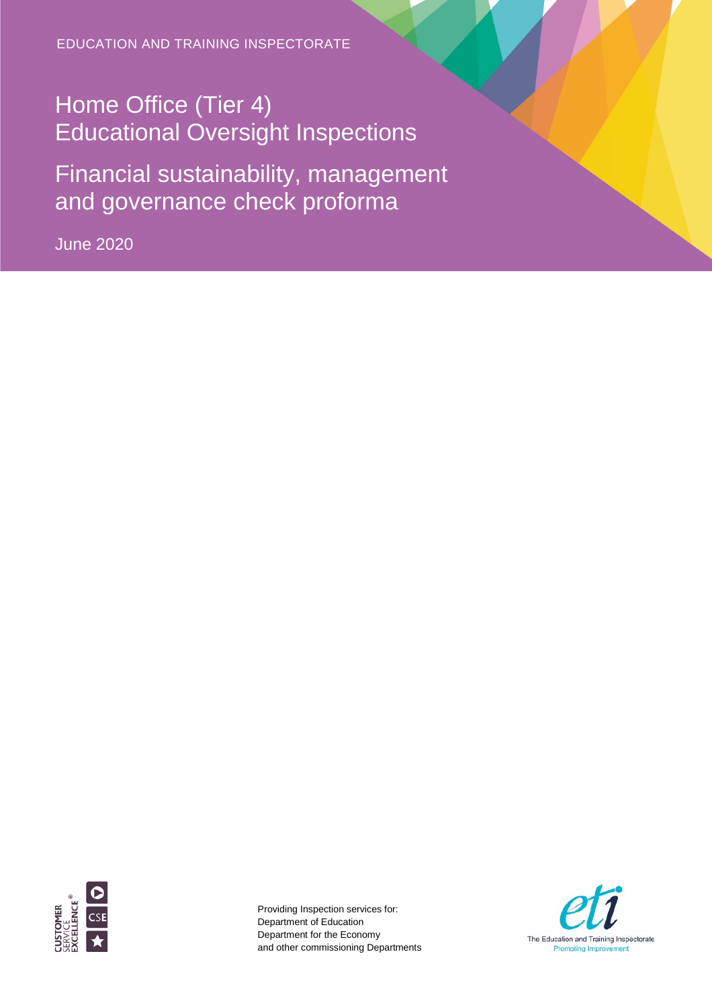EDUCATION AND TRAINING INSPECTORATE

## Home Office (Tier 4) Educational Oversight Inspections

Financial sustainability, management and governance check proforma

June 2020



Providing Inspection services for: Department of Education Department for the Economy and other commissioning Departments

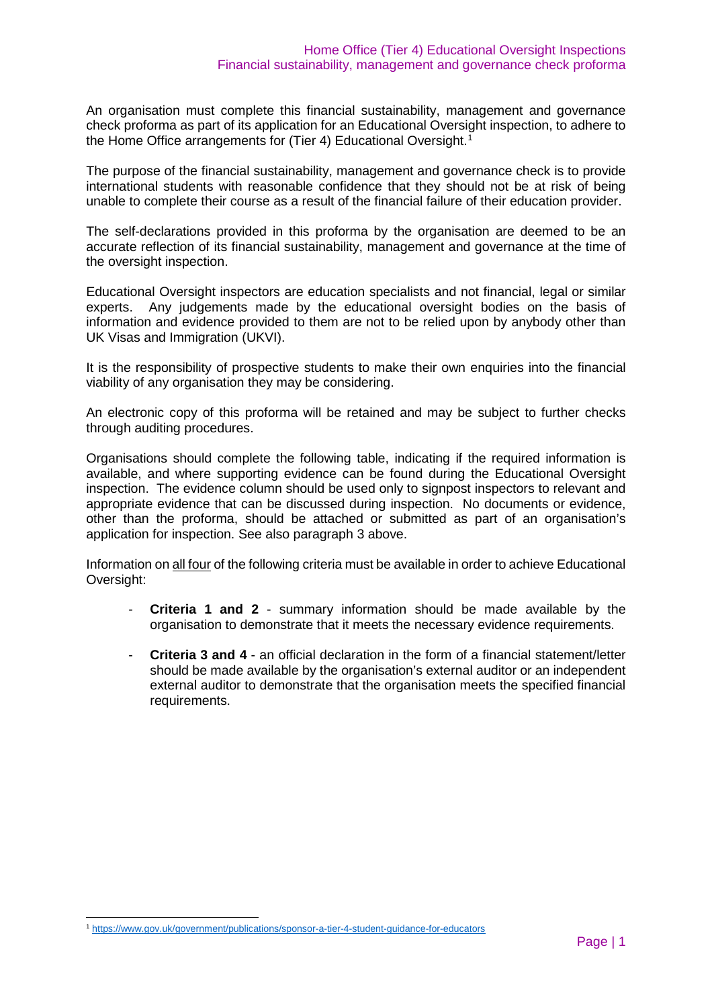An organisation must complete this financial sustainability, management and governance check proforma as part of its application for an Educational Oversight inspection, to adhere to the Home Office arrangements for (Tier 4) Educational Oversight. [1](#page-1-0)

The purpose of the financial sustainability, management and governance check is to provide international students with reasonable confidence that they should not be at risk of being unable to complete their course as a result of the financial failure of their education provider.

The self-declarations provided in this proforma by the organisation are deemed to be an accurate reflection of its financial sustainability, management and governance at the time of the oversight inspection.

Educational Oversight inspectors are education specialists and not financial, legal or similar experts. Any judgements made by the educational oversight bodies on the basis of information and evidence provided to them are not to be relied upon by anybody other than UK Visas and Immigration (UKVI).

It is the responsibility of prospective students to make their own enquiries into the financial viability of any organisation they may be considering.

An electronic copy of this proforma will be retained and may be subject to further checks through auditing procedures.

Organisations should complete the following table, indicating if the required information is available, and where supporting evidence can be found during the Educational Oversight inspection. The evidence column should be used only to signpost inspectors to relevant and appropriate evidence that can be discussed during inspection. No documents or evidence, other than the proforma, should be attached or submitted as part of an organisation's application for inspection. See also paragraph 3 above.

Information on all four of the following criteria must be available in order to achieve Educational Oversight:

- **Criteria 1 and 2** summary information should be made available by the organisation to demonstrate that it meets the necessary evidence requirements.
- **Criteria 3 and 4** an official declaration in the form of a financial statement/letter should be made available by the organisation's external auditor or an independent external auditor to demonstrate that the organisation meets the specified financial requirements.

<span id="page-1-0"></span> <sup>1</sup> <https://www.gov.uk/government/publications/sponsor-a-tier-4-student-guidance-for-educators>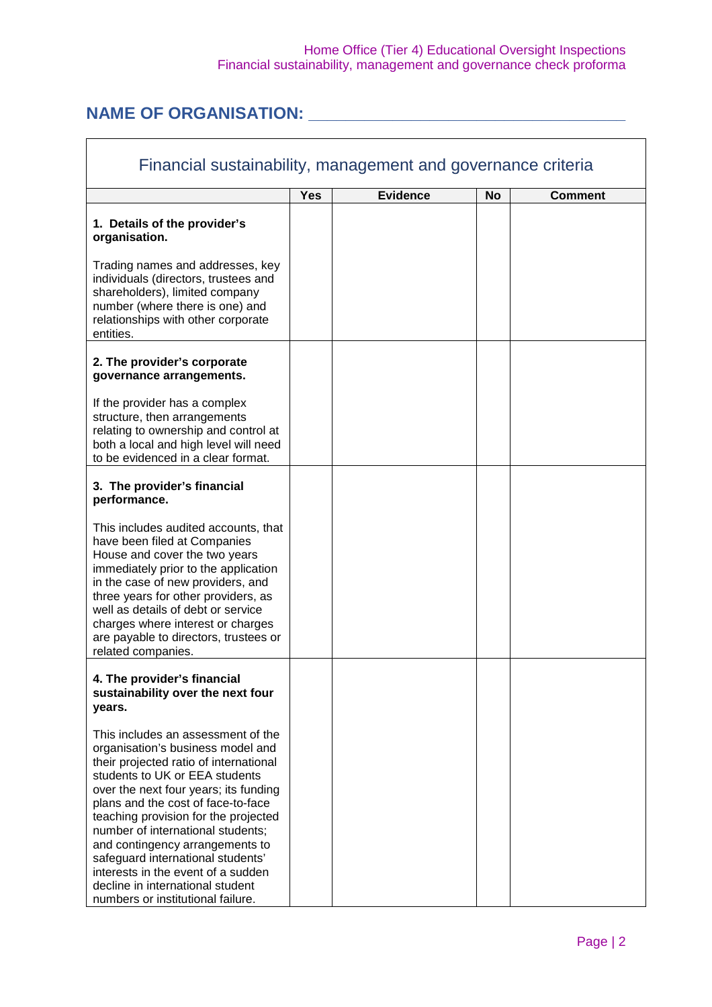## Home Office (Tier 4) Educational Oversight Inspections Financial sustainability, management and governance check proforma

## **NAME OF ORGANISATION: \_\_\_\_\_\_\_\_\_\_\_\_\_\_\_\_\_\_\_\_\_\_\_\_\_\_\_\_\_\_\_\_\_\_**

| Financial sustainability, management and governance criteria                                                                                                                                                                                                                                                                                                                                                                                                                                           |            |                 |    |                |
|--------------------------------------------------------------------------------------------------------------------------------------------------------------------------------------------------------------------------------------------------------------------------------------------------------------------------------------------------------------------------------------------------------------------------------------------------------------------------------------------------------|------------|-----------------|----|----------------|
|                                                                                                                                                                                                                                                                                                                                                                                                                                                                                                        | <b>Yes</b> | <b>Evidence</b> | No | <b>Comment</b> |
| 1. Details of the provider's<br>organisation.                                                                                                                                                                                                                                                                                                                                                                                                                                                          |            |                 |    |                |
| Trading names and addresses, key<br>individuals (directors, trustees and<br>shareholders), limited company<br>number (where there is one) and<br>relationships with other corporate<br>entities.                                                                                                                                                                                                                                                                                                       |            |                 |    |                |
| 2. The provider's corporate<br>governance arrangements.                                                                                                                                                                                                                                                                                                                                                                                                                                                |            |                 |    |                |
| If the provider has a complex<br>structure, then arrangements<br>relating to ownership and control at<br>both a local and high level will need<br>to be evidenced in a clear format.                                                                                                                                                                                                                                                                                                                   |            |                 |    |                |
| 3. The provider's financial<br>performance.                                                                                                                                                                                                                                                                                                                                                                                                                                                            |            |                 |    |                |
| This includes audited accounts, that<br>have been filed at Companies<br>House and cover the two years<br>immediately prior to the application<br>in the case of new providers, and<br>three years for other providers, as<br>well as details of debt or service<br>charges where interest or charges<br>are payable to directors, trustees or<br>related companies.                                                                                                                                    |            |                 |    |                |
| 4. The provider's financial<br>sustainability over the next four<br>years.                                                                                                                                                                                                                                                                                                                                                                                                                             |            |                 |    |                |
| This includes an assessment of the<br>organisation's business model and<br>their projected ratio of international<br>students to UK or EEA students<br>over the next four years; its funding<br>plans and the cost of face-to-face<br>teaching provision for the projected<br>number of international students;<br>and contingency arrangements to<br>safeguard international students'<br>interests in the event of a sudden<br>decline in international student<br>numbers or institutional failure. |            |                 |    |                |